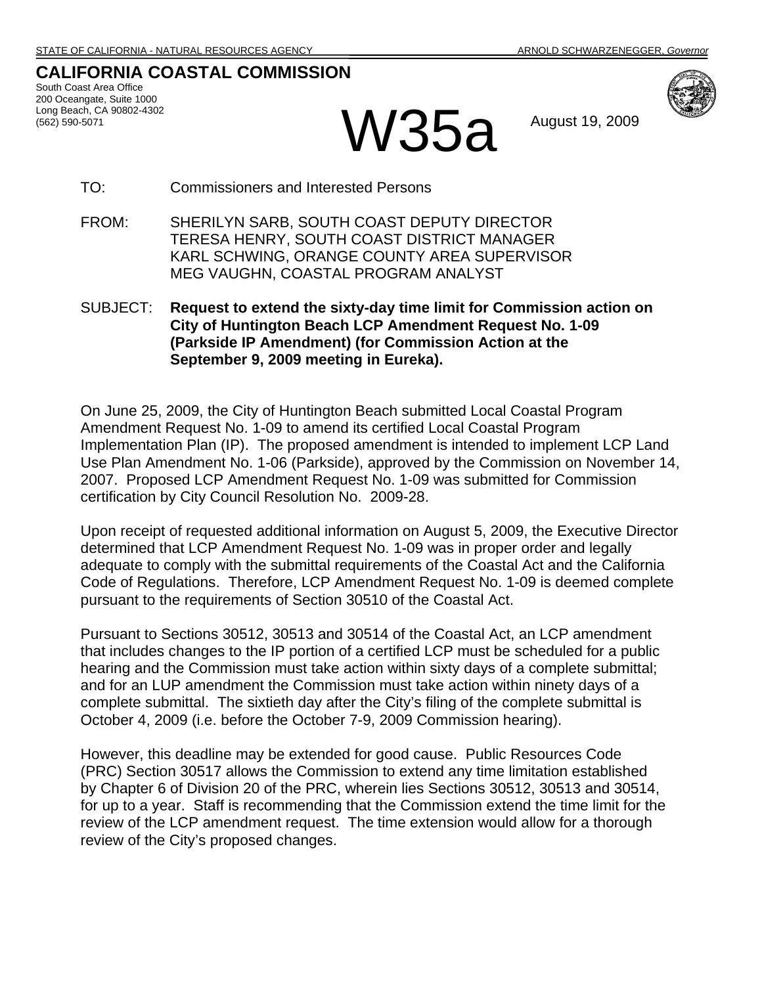## **CALIFORNIA COASTAL COMMISSION**

South Coast Area Office 200 Oceangate, Suite 1000 Long Beach, CA 90802-4302



**W35a** August 19, 2009

TO: Commissioners and Interested Persons

- FROM: SHERILYN SARB, SOUTH COAST DEPUTY DIRECTOR TERESA HENRY, SOUTH COAST DISTRICT MANAGER KARL SCHWING, ORANGE COUNTY AREA SUPERVISOR MEG VAUGHN, COASTAL PROGRAM ANALYST
- SUBJECT: **Request to extend the sixty-day time limit for Commission action on City of Huntington Beach LCP Amendment Request No. 1-09 (Parkside IP Amendment) (for Commission Action at the September 9, 2009 meeting in Eureka).**

On June 25, 2009, the City of Huntington Beach submitted Local Coastal Program Amendment Request No. 1-09 to amend its certified Local Coastal Program Implementation Plan (IP). The proposed amendment is intended to implement LCP Land Use Plan Amendment No. 1-06 (Parkside), approved by the Commission on November 14, 2007. Proposed LCP Amendment Request No. 1-09 was submitted for Commission certification by City Council Resolution No. 2009-28.

Upon receipt of requested additional information on August 5, 2009, the Executive Director determined that LCP Amendment Request No. 1-09 was in proper order and legally adequate to comply with the submittal requirements of the Coastal Act and the California Code of Regulations. Therefore, LCP Amendment Request No. 1-09 is deemed complete pursuant to the requirements of Section 30510 of the Coastal Act.

Pursuant to Sections 30512, 30513 and 30514 of the Coastal Act, an LCP amendment that includes changes to the IP portion of a certified LCP must be scheduled for a public hearing and the Commission must take action within sixty days of a complete submittal; and for an LUP amendment the Commission must take action within ninety days of a complete submittal. The sixtieth day after the City's filing of the complete submittal is October 4, 2009 (i.e. before the October 7-9, 2009 Commission hearing).

However, this deadline may be extended for good cause. Public Resources Code (PRC) Section 30517 allows the Commission to extend any time limitation established by Chapter 6 of Division 20 of the PRC, wherein lies Sections 30512, 30513 and 30514, for up to a year. Staff is recommending that the Commission extend the time limit for the review of the LCP amendment request. The time extension would allow for a thorough review of the City's proposed changes.